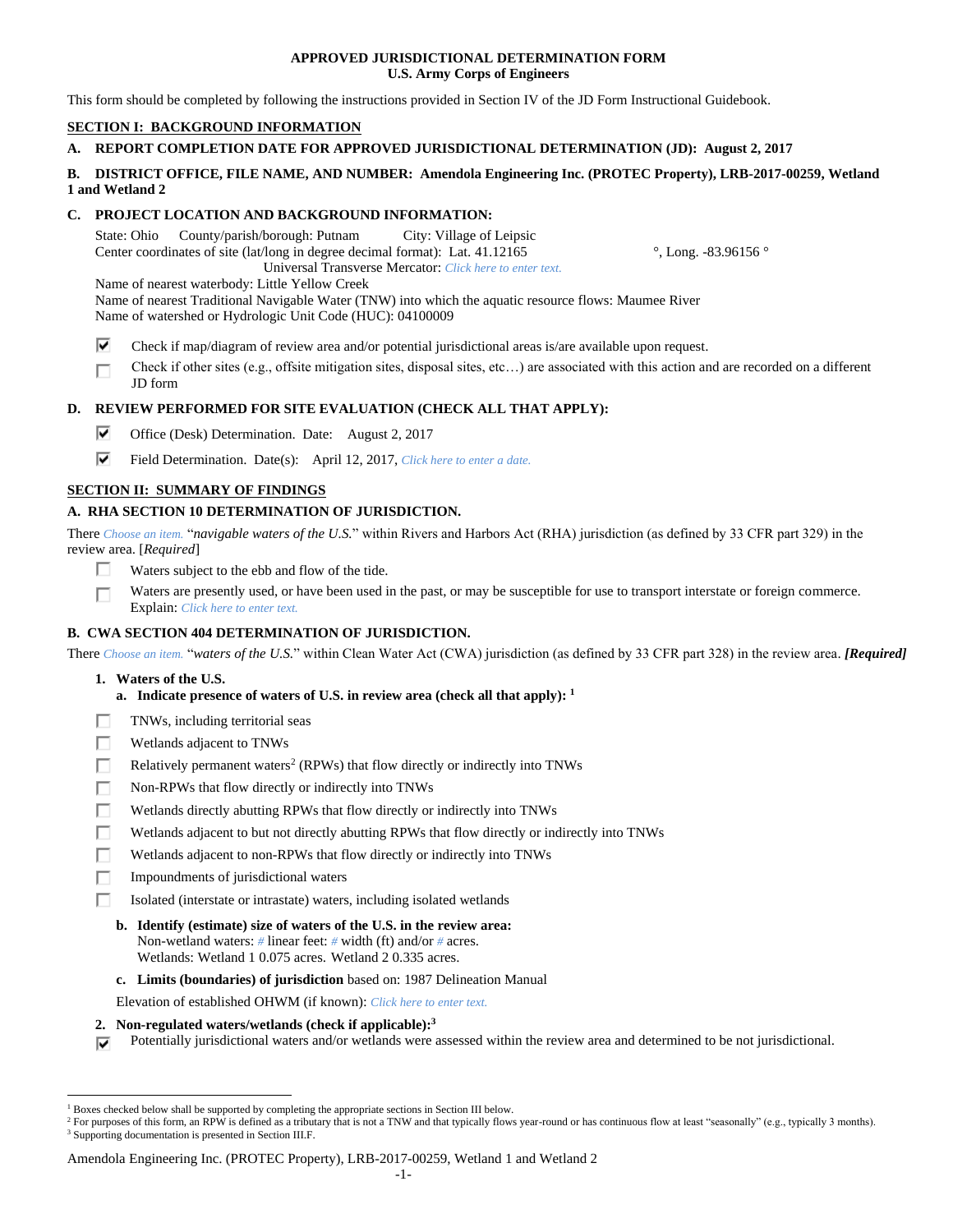### **APPROVED JURISDICTIONAL DETERMINATION FORM U.S. Army Corps of Engineers**

This form should be completed by following the instructions provided in Section IV of the JD Form Instructional Guidebook.

# **SECTION I: BACKGROUND INFORMATION**

# **A. REPORT COMPLETION DATE FOR APPROVED JURISDICTIONAL DETERMINATION (JD): August 2, 2017**

### **B. DISTRICT OFFICE, FILE NAME, AND NUMBER: Amendola Engineering Inc. (PROTEC Property), LRB-2017-00259, Wetland 1 and Wetland 2**

# **C. PROJECT LOCATION AND BACKGROUND INFORMATION:**

State: Ohio County/parish/borough: Putnam City: Village of Leipsic Center coordinates of site (lat/long in degree decimal format): Lat. 41.12165 °, Long. -83.96156 ° Universal Transverse Mercator: *Click here to enter text.* Name of nearest waterbody: Little Yellow Creek Name of nearest Traditional Navigable Water (TNW) into which the aquatic resource flows: Maumee River

Name of watershed or Hydrologic Unit Code (HUC): 04100009

- ⊽ Check if map/diagram of review area and/or potential jurisdictional areas is/are available upon request.
- Check if other sites (e.g., offsite mitigation sites, disposal sites, etc…) are associated with this action and are recorded on a different П JD form

# **D. REVIEW PERFORMED FOR SITE EVALUATION (CHECK ALL THAT APPLY):**

- ⊽⊹ Office (Desk) Determination. Date: August 2, 2017
- ⊽⊹ Field Determination. Date(s): April 12, 2017, *Click here to enter a date.*

# **SECTION II: SUMMARY OF FINDINGS**

# **A. RHA SECTION 10 DETERMINATION OF JURISDICTION.**

There *Choose an item.* "*navigable waters of the U.S.*" within Rivers and Harbors Act (RHA) jurisdiction (as defined by 33 CFR part 329) in the review area. [*Required*]

- Waters subject to the ebb and flow of the tide. П.
- Waters are presently used, or have been used in the past, or may be susceptible for use to transport interstate or foreign commerce. П Explain: *Click here to enter text.*

# **B. CWA SECTION 404 DETERMINATION OF JURISDICTION.**

There *Choose an item.* "*waters of the U.S.*" within Clean Water Act (CWA) jurisdiction (as defined by 33 CFR part 328) in the review area. *[Required]*

- **1. Waters of the U.S.**
	- **a. Indicate presence of waters of U.S. in review area (check all that apply): 1**
- п TNWs, including territorial seas
- п Wetlands adjacent to TNWs
- п Relatively permanent waters<sup>2</sup> (RPWs) that flow directly or indirectly into TNWs
- П Non-RPWs that flow directly or indirectly into TNWs
- Wetlands directly abutting RPWs that flow directly or indirectly into TNWs п
- п Wetlands adjacent to but not directly abutting RPWs that flow directly or indirectly into TNWs
- г Wetlands adjacent to non-RPWs that flow directly or indirectly into TNWs
- п Impoundments of jurisdictional waters
- Isolated (interstate or intrastate) waters, including isolated wetlands П.
	- **b. Identify (estimate) size of waters of the U.S. in the review area:** Non-wetland waters: *#* linear feet: *#* width (ft) and/or *#* acres. Wetlands: Wetland 1 0.075 acres. Wetland 2 0.335 acres.
	- **c. Limits (boundaries) of jurisdiction** based on: 1987 Delineation Manual
	- Elevation of established OHWM (if known): *Click here to enter text.*
- **2. Non-regulated waters/wetlands (check if applicable): 3**
- Potentially jurisdictional waters and/or wetlands were assessed within the review area and determined to be not jurisdictional. ⊽

 $\overline{a}$ <sup>1</sup> Boxes checked below shall be supported by completing the appropriate sections in Section III below.

<sup>&</sup>lt;sup>2</sup> For purposes of this form, an RPW is defined as a tributary that is not a TNW and that typically flows year-round or has continuous flow at least "seasonally" (e.g., typically 3 months). <sup>3</sup> Supporting documentation is presented in Section III.F.

Amendola Engineering Inc. (PROTEC Property), LRB-2017-00259, Wetland 1 and Wetland 2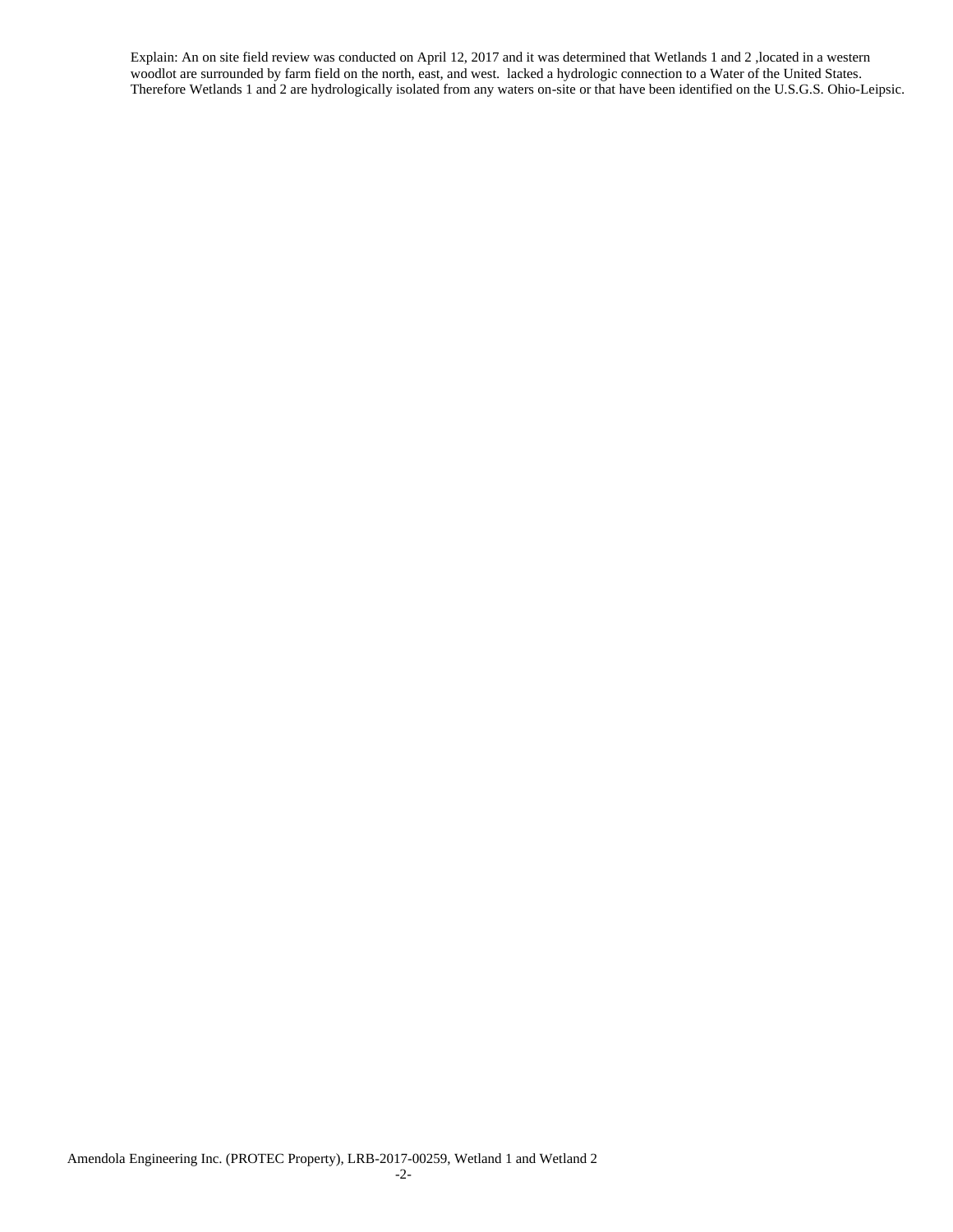Explain: An on site field review was conducted on April 12, 2017 and it was determined that Wetlands 1 and 2 ,located in a western woodlot are surrounded by farm field on the north, east, and west. lacked a hydrologic connection to a Water of the United States. Therefore Wetlands 1 and 2 are hydrologically isolated from any waters on-site or that have been identified on the U.S.G.S. Ohio-Leipsic.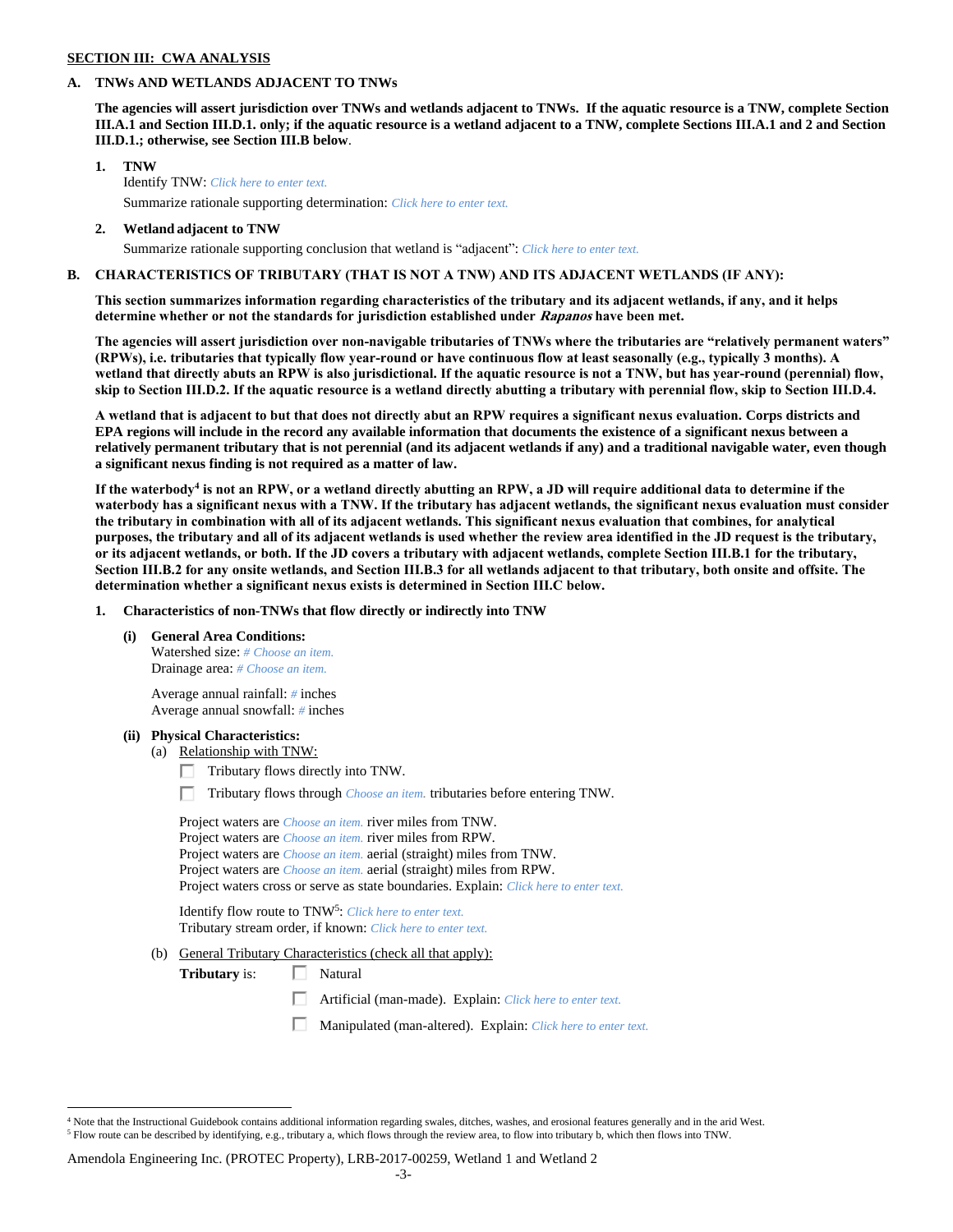#### **SECTION III: CWA ANALYSIS**

### **A. TNWs AND WETLANDS ADJACENT TO TNWs**

**The agencies will assert jurisdiction over TNWs and wetlands adjacent to TNWs. If the aquatic resource is a TNW, complete Section III.A.1 and Section III.D.1. only; if the aquatic resource is a wetland adjacent to a TNW, complete Sections III.A.1 and 2 and Section III.D.1.; otherwise, see Section III.B below**.

- **1. TNW**  Identify TNW: *Click here to enter text.*
	- Summarize rationale supporting determination: *Click here to enter text.*
- **2. Wetland adjacent to TNW** Summarize rationale supporting conclusion that wetland is "adjacent": *Click here to enter text.*

## **B. CHARACTERISTICS OF TRIBUTARY (THAT IS NOT A TNW) AND ITS ADJACENT WETLANDS (IF ANY):**

**This section summarizes information regarding characteristics of the tributary and its adjacent wetlands, if any, and it helps determine whether or not the standards for jurisdiction established under Rapanos have been met.** 

**The agencies will assert jurisdiction over non-navigable tributaries of TNWs where the tributaries are "relatively permanent waters" (RPWs), i.e. tributaries that typically flow year-round or have continuous flow at least seasonally (e.g., typically 3 months). A wetland that directly abuts an RPW is also jurisdictional. If the aquatic resource is not a TNW, but has year-round (perennial) flow, skip to Section III.D.2. If the aquatic resource is a wetland directly abutting a tributary with perennial flow, skip to Section III.D.4.**

**A wetland that is adjacent to but that does not directly abut an RPW requires a significant nexus evaluation. Corps districts and EPA regions will include in the record any available information that documents the existence of a significant nexus between a relatively permanent tributary that is not perennial (and its adjacent wetlands if any) and a traditional navigable water, even though a significant nexus finding is not required as a matter of law.**

**If the waterbody<sup>4</sup> is not an RPW, or a wetland directly abutting an RPW, a JD will require additional data to determine if the waterbody has a significant nexus with a TNW. If the tributary has adjacent wetlands, the significant nexus evaluation must consider the tributary in combination with all of its adjacent wetlands. This significant nexus evaluation that combines, for analytical purposes, the tributary and all of its adjacent wetlands is used whether the review area identified in the JD request is the tributary, or its adjacent wetlands, or both. If the JD covers a tributary with adjacent wetlands, complete Section III.B.1 for the tributary, Section III.B.2 for any onsite wetlands, and Section III.B.3 for all wetlands adjacent to that tributary, both onsite and offsite. The determination whether a significant nexus exists is determined in Section III.C below.**

**1. Characteristics of non-TNWs that flow directly or indirectly into TNW**

**(i) General Area Conditions:**

Watershed size: *# Choose an item.* Drainage area: *# Choose an item.*

Average annual rainfall: *#* inches Average annual snowfall: *#* inches

#### **(ii) Physical Characteristics:**

 $\overline{a}$ 

- (a) Relationship with TNW:
	- $\Box$  Tributary flows directly into TNW.

п. Tributary flows through *Choose an item.* tributaries before entering TNW.

Project waters are *Choose an item.* river miles from TNW. Project waters are *Choose an item.* river miles from RPW. Project waters are *Choose an item.* aerial (straight) miles from TNW. Project waters are *Choose an item.* aerial (straight) miles from RPW. Project waters cross or serve as state boundaries. Explain: *Click here to enter text.*

Identify flow route to TNW<sup>5</sup>: Click here to enter text. Tributary stream order, if known: *Click here to enter text.*

(b) General Tributary Characteristics (check all that apply):

**Tributary** is:  $\Box$  Natural

- 口 Artificial (man-made). Explain: *Click here to enter text.*
- Manipulated (man-altered). Explain: *Click here to enter text.*

<sup>4</sup> Note that the Instructional Guidebook contains additional information regarding swales, ditches, washes, and erosional features generally and in the arid West. <sup>5</sup> Flow route can be described by identifying, e.g., tributary a, which flows through the review area, to flow into tributary b, which then flows into TNW.

Amendola Engineering Inc. (PROTEC Property), LRB-2017-00259, Wetland 1 and Wetland 2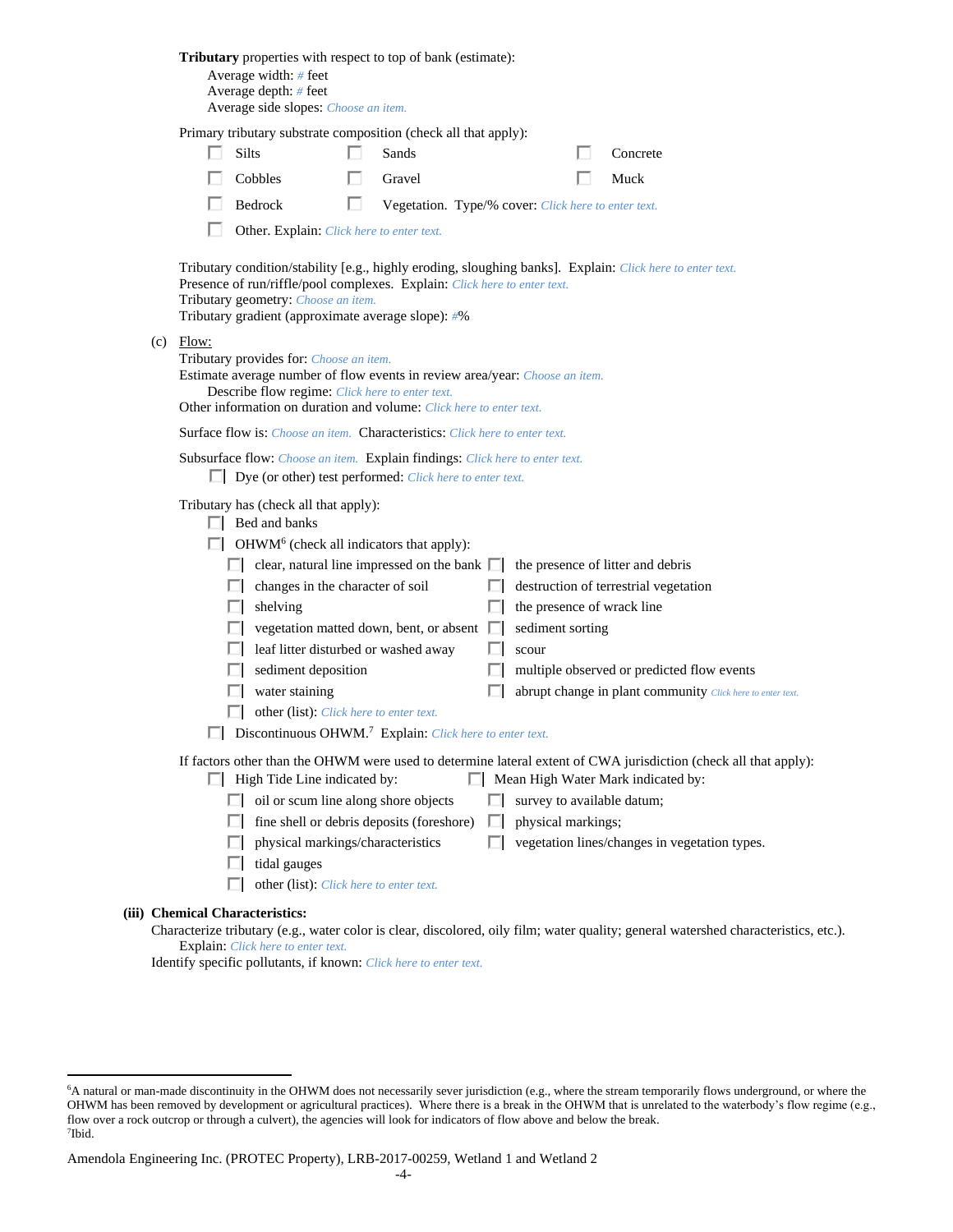|  | <b>Tributary</b> properties with respect to top of bank (estimate):<br>Average width: # feet<br>Average depth: # feet<br>Average side slopes: Choose an item.                                                                                                   |                                                                                                                                                                                                                                                                                     |   |                                                                 |   |                            |  |                                                                                                                                     |  |  |  |  |
|--|-----------------------------------------------------------------------------------------------------------------------------------------------------------------------------------------------------------------------------------------------------------------|-------------------------------------------------------------------------------------------------------------------------------------------------------------------------------------------------------------------------------------------------------------------------------------|---|-----------------------------------------------------------------|---|----------------------------|--|-------------------------------------------------------------------------------------------------------------------------------------|--|--|--|--|
|  |                                                                                                                                                                                                                                                                 |                                                                                                                                                                                                                                                                                     |   | Primary tributary substrate composition (check all that apply): |   |                            |  |                                                                                                                                     |  |  |  |  |
|  |                                                                                                                                                                                                                                                                 | <b>Silts</b>                                                                                                                                                                                                                                                                        |   | Sands                                                           |   |                            |  | Concrete                                                                                                                            |  |  |  |  |
|  |                                                                                                                                                                                                                                                                 | Cobbles                                                                                                                                                                                                                                                                             |   | Gravel                                                          |   |                            |  | Muck                                                                                                                                |  |  |  |  |
|  |                                                                                                                                                                                                                                                                 | Bedrock                                                                                                                                                                                                                                                                             | п | Vegetation. Type/% cover: Click here to enter text.             |   |                            |  |                                                                                                                                     |  |  |  |  |
|  |                                                                                                                                                                                                                                                                 | Other. Explain: Click here to enter text.                                                                                                                                                                                                                                           |   |                                                                 |   |                            |  |                                                                                                                                     |  |  |  |  |
|  |                                                                                                                                                                                                                                                                 | Tributary condition/stability [e.g., highly eroding, sloughing banks]. Explain: Click here to enter text.<br>Presence of run/riffle/pool complexes. Explain: Click here to enter text.<br>Tributary geometry: Choose an item.<br>Tributary gradient (approximate average slope): #% |   |                                                                 |   |                            |  |                                                                                                                                     |  |  |  |  |
|  | $(c)$ Flow:<br>Tributary provides for: Choose an item.<br>Estimate average number of flow events in review area/year: Choose an item.<br>Describe flow regime: Click here to enter text.<br>Other information on duration and volume: Click here to enter text. |                                                                                                                                                                                                                                                                                     |   |                                                                 |   |                            |  |                                                                                                                                     |  |  |  |  |
|  | <b>Surface flow is:</b> Choose an item. <b>Characteristics:</b> Click here to enter text.                                                                                                                                                                       |                                                                                                                                                                                                                                                                                     |   |                                                                 |   |                            |  |                                                                                                                                     |  |  |  |  |
|  | Subsurface flow: Choose an item. Explain findings: Click here to enter text.<br>Dye (or other) test performed: Click here to enter text.                                                                                                                        |                                                                                                                                                                                                                                                                                     |   |                                                                 |   |                            |  |                                                                                                                                     |  |  |  |  |
|  | Tributary has (check all that apply):<br>$\Box$ Bed and banks                                                                                                                                                                                                   |                                                                                                                                                                                                                                                                                     |   |                                                                 |   |                            |  |                                                                                                                                     |  |  |  |  |
|  | $\Box$ OHWM <sup>6</sup> (check all indicators that apply):<br>$\Box$ clear, natural line impressed on the bank $\Box$<br>the presence of litter and debris                                                                                                     |                                                                                                                                                                                                                                                                                     |   |                                                                 |   |                            |  |                                                                                                                                     |  |  |  |  |
|  |                                                                                                                                                                                                                                                                 | changes in the character of soil                                                                                                                                                                                                                                                    |   |                                                                 |   |                            |  | destruction of terrestrial vegetation                                                                                               |  |  |  |  |
|  |                                                                                                                                                                                                                                                                 | shelving                                                                                                                                                                                                                                                                            |   |                                                                 |   | the presence of wrack line |  |                                                                                                                                     |  |  |  |  |
|  |                                                                                                                                                                                                                                                                 |                                                                                                                                                                                                                                                                                     |   | vegetation matted down, bent, or absent                         | ш | sediment sorting           |  |                                                                                                                                     |  |  |  |  |
|  |                                                                                                                                                                                                                                                                 | leaf litter disturbed or washed away                                                                                                                                                                                                                                                |   |                                                                 |   | scour                      |  |                                                                                                                                     |  |  |  |  |
|  |                                                                                                                                                                                                                                                                 | sediment deposition                                                                                                                                                                                                                                                                 |   |                                                                 |   |                            |  | multiple observed or predicted flow events                                                                                          |  |  |  |  |
|  |                                                                                                                                                                                                                                                                 | water staining                                                                                                                                                                                                                                                                      |   |                                                                 |   |                            |  | abrupt change in plant community Click here to enter text.                                                                          |  |  |  |  |
|  |                                                                                                                                                                                                                                                                 | other (list): Click here to enter text.                                                                                                                                                                                                                                             |   |                                                                 |   |                            |  |                                                                                                                                     |  |  |  |  |
|  | Discontinuous OHWM. <sup>7</sup> Explain: Click here to enter text.                                                                                                                                                                                             |                                                                                                                                                                                                                                                                                     |   |                                                                 |   |                            |  |                                                                                                                                     |  |  |  |  |
|  | If factors other than the OHWM were used to determine lateral extent of CWA jurisdiction (check all that apply):<br>Mean High Water Mark indicated by:<br>$\Box$ High Tide Line indicated by:                                                                   |                                                                                                                                                                                                                                                                                     |   |                                                                 |   |                            |  |                                                                                                                                     |  |  |  |  |
|  | survey to available datum;                                                                                                                                                                                                                                      |                                                                                                                                                                                                                                                                                     |   |                                                                 |   |                            |  |                                                                                                                                     |  |  |  |  |
|  | ш                                                                                                                                                                                                                                                               |                                                                                                                                                                                                                                                                                     |   | fine shell or debris deposits (foreshore)                       | П | physical markings;         |  |                                                                                                                                     |  |  |  |  |
|  | ш                                                                                                                                                                                                                                                               | vegetation lines/changes in vegetation types.                                                                                                                                                                                                                                       |   |                                                                 |   |                            |  |                                                                                                                                     |  |  |  |  |
|  | ш                                                                                                                                                                                                                                                               | tidal gauges                                                                                                                                                                                                                                                                        |   |                                                                 |   |                            |  |                                                                                                                                     |  |  |  |  |
|  |                                                                                                                                                                                                                                                                 | other (list): Click here to enter text.                                                                                                                                                                                                                                             |   |                                                                 |   |                            |  |                                                                                                                                     |  |  |  |  |
|  | <b>Chemical Characteristics:</b>                                                                                                                                                                                                                                |                                                                                                                                                                                                                                                                                     |   |                                                                 |   |                            |  | Characterize tributary (e.g., water color is clear, discolored, oily film; water quality; general watershed characteristics, etc.). |  |  |  |  |

Explain: *Click here to enter text.*

**(iii)** 

 $\overline{a}$ 

Identify specific pollutants, if known: *Click here to enter text.*

<sup>6</sup>A natural or man-made discontinuity in the OHWM does not necessarily sever jurisdiction (e.g., where the stream temporarily flows underground, or where the OHWM has been removed by development or agricultural practices). Where there is a break in the OHWM that is unrelated to the waterbody's flow regime (e.g., flow over a rock outcrop or through a culvert), the agencies will look for indicators of flow above and below the break. 7 Ibid.

Amendola Engineering Inc. (PROTEC Property), LRB-2017-00259, Wetland 1 and Wetland 2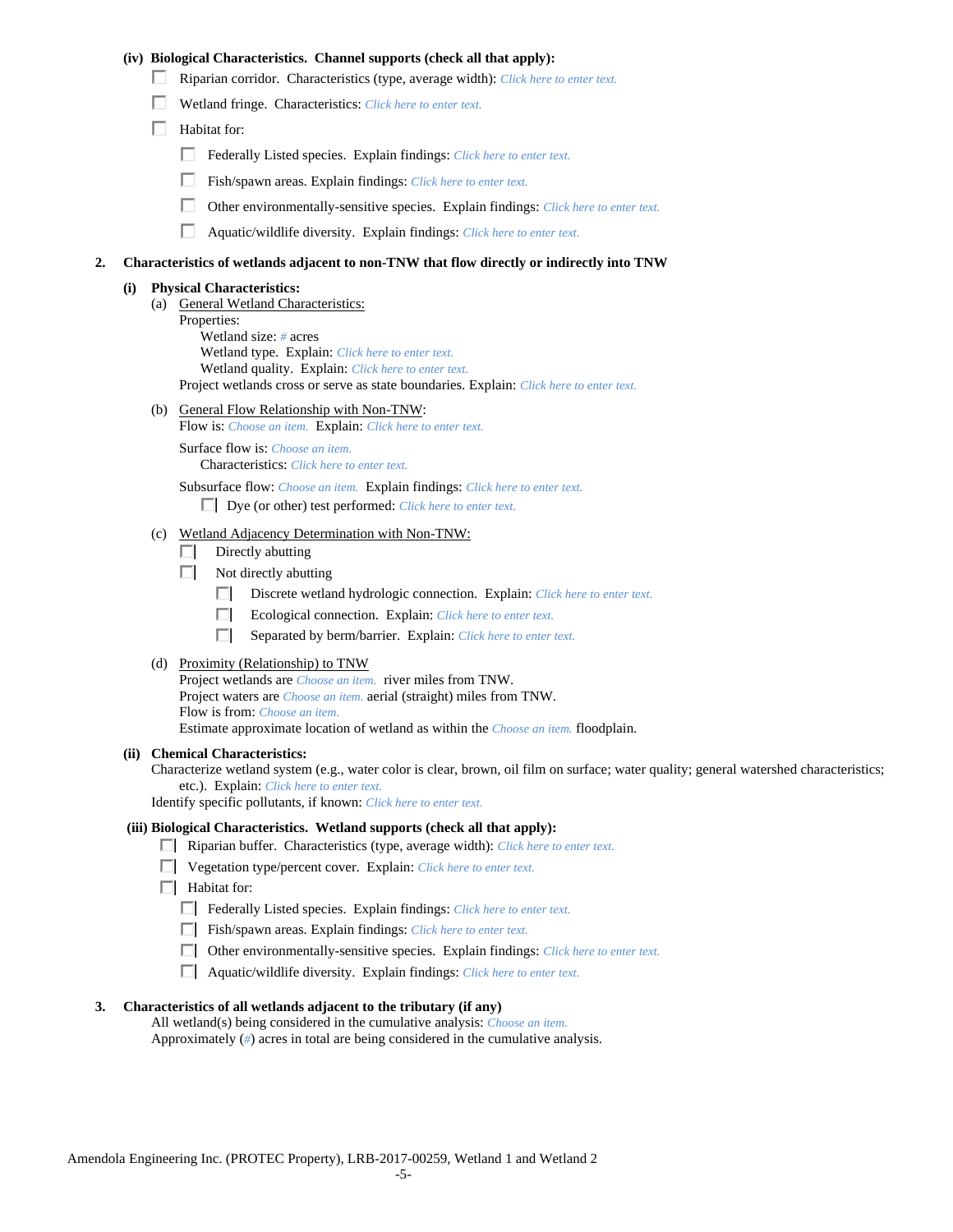### **(iv) Biological Characteristics. Channel supports (check all that apply):**

- Riparian corridor. Characteristics (type, average width): *Click here to enter text.*
- Wetland fringe. Characteristics: *Click here to enter text.*
- $\Box$  Habitat for:
	- Federally Listed species. Explain findings: *Click here to enter text*.
	- Fish/spawn areas. Explain findings: *Click here to enter text.*
	- П. Other environmentally-sensitive species. Explain findings: *Click here to enter text.*
	- Aquatic/wildlife diversity. Explain findings: *Click here to enter text.*

#### **2. Characteristics of wetlands adjacent to non-TNW that flow directly or indirectly into TNW**

#### **(i) Physical Characteristics:**

- (a) General Wetland Characteristics:
	- Properties:

Wetland size: *#* acres Wetland type. Explain: *Click here to enter text.*

Wetland quality. Explain: *Click here to enter text.*

Project wetlands cross or serve as state boundaries. Explain: *Click here to enter text.*

(b) General Flow Relationship with Non-TNW: Flow is: *Choose an item.* Explain: *Click here to enter text.*

Surface flow is: *Choose an item.* Characteristics: *Click here to enter text.*

Subsurface flow: *Choose an item.* Explain findings: *Click here to enter text.*

Dye (or other) test performed: *Click here to enter text.*

#### (c) Wetland Adjacency Determination with Non-TNW:

- $\Box$  Directly abutting
- $\Box$  Not directly abutting
	- Discrete wetland hydrologic connection. Explain: *Click here to enter text.*
	- Ecological connection. Explain: *Click here to enter text.* п.
	- $\Box$ Separated by berm/barrier. Explain: *Click here to enter text.*
- (d) Proximity (Relationship) to TNW

Project wetlands are *Choose an item.* river miles from TNW. Project waters are *Choose an item.* aerial (straight) miles from TNW. Flow is from: *Choose an item.* Estimate approximate location of wetland as within the *Choose an item.* floodplain.

#### **(ii) Chemical Characteristics:**

Characterize wetland system (e.g., water color is clear, brown, oil film on surface; water quality; general watershed characteristics; etc.). Explain: *Click here to enter text.*

Identify specific pollutants, if known: *Click here to enter text.*

### **(iii) Biological Characteristics. Wetland supports (check all that apply):**

- Riparian buffer. Characteristics (type, average width): *Click here to enter text.*
- Vegetation type/percent cover. Explain: *Click here to enter text.*
- **Habitat for:** 
	- Federally Listed species. Explain findings: *Click here to enter text*.
	- Fish/spawn areas. Explain findings: *Click here to enter text*.
	- Other environmentally-sensitive species. Explain findings: *Click here to enter text.*
	- Aquatic/wildlife diversity. Explain findings: *Click here to enter text.*

#### **3. Characteristics of all wetlands adjacent to the tributary (if any)**

All wetland(s) being considered in the cumulative analysis: *Choose an item.* Approximately (*#*) acres in total are being considered in the cumulative analysis.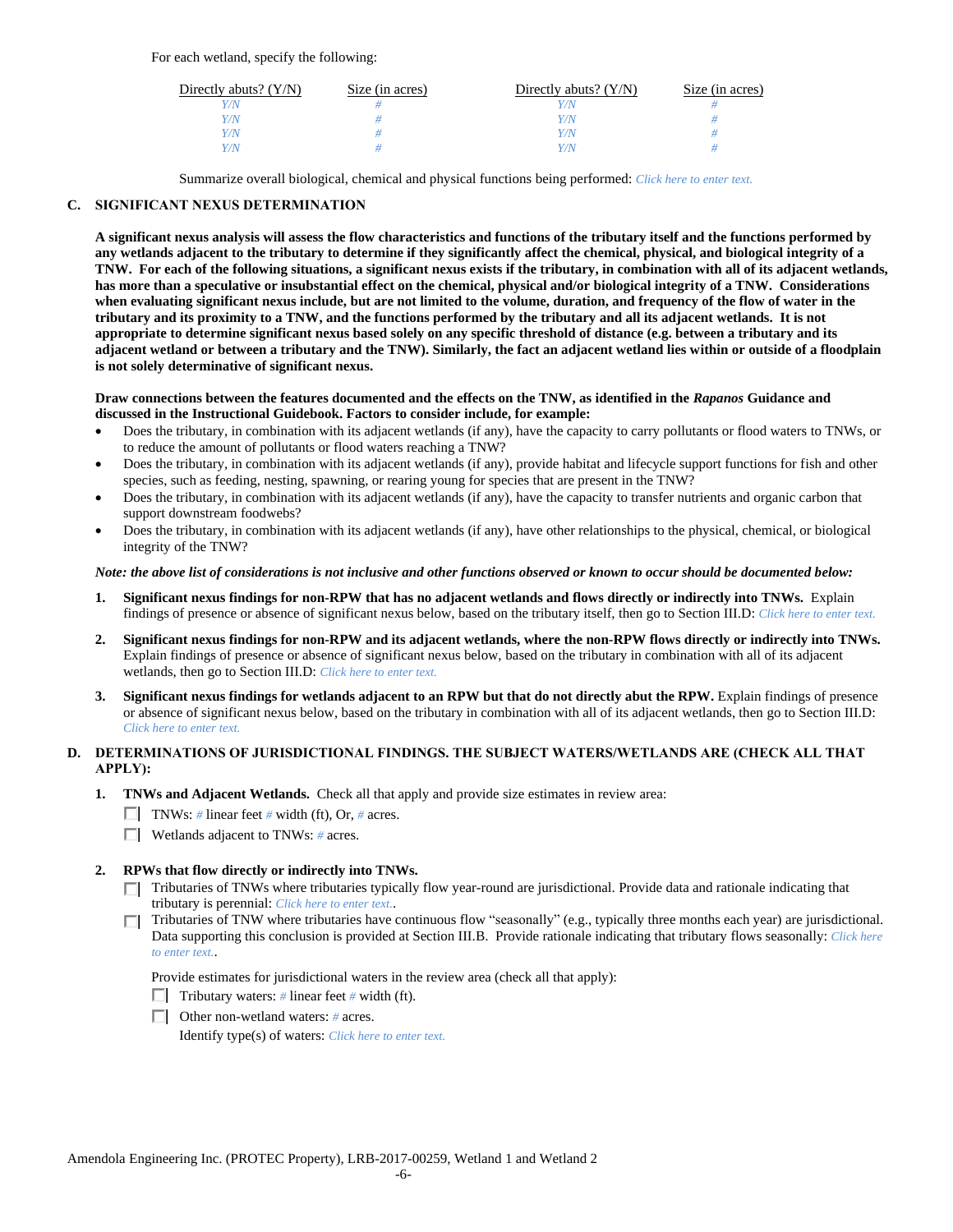For each wetland, specify the following:

| Directly abuts? $(Y/N)$ | Size (in acres) | Directly abuts? $(Y/N)$ | Size (in acres) |
|-------------------------|-----------------|-------------------------|-----------------|
| V/N                     |                 |                         |                 |
| Y/N                     |                 | Y / N                   |                 |
| Y/N.                    |                 | Y/N                     |                 |
| Y/N                     |                 | V N                     |                 |

Summarize overall biological, chemical and physical functions being performed: *Click here to enter text.*

# **C. SIGNIFICANT NEXUS DETERMINATION**

**A significant nexus analysis will assess the flow characteristics and functions of the tributary itself and the functions performed by any wetlands adjacent to the tributary to determine if they significantly affect the chemical, physical, and biological integrity of a TNW. For each of the following situations, a significant nexus exists if the tributary, in combination with all of its adjacent wetlands, has more than a speculative or insubstantial effect on the chemical, physical and/or biological integrity of a TNW. Considerations when evaluating significant nexus include, but are not limited to the volume, duration, and frequency of the flow of water in the tributary and its proximity to a TNW, and the functions performed by the tributary and all its adjacent wetlands. It is not appropriate to determine significant nexus based solely on any specific threshold of distance (e.g. between a tributary and its adjacent wetland or between a tributary and the TNW). Similarly, the fact an adjacent wetland lies within or outside of a floodplain is not solely determinative of significant nexus.** 

#### **Draw connections between the features documented and the effects on the TNW, as identified in the** *Rapanos* **Guidance and discussed in the Instructional Guidebook. Factors to consider include, for example:**

- Does the tributary, in combination with its adjacent wetlands (if any), have the capacity to carry pollutants or flood waters to TNWs, or to reduce the amount of pollutants or flood waters reaching a TNW?
- Does the tributary, in combination with its adjacent wetlands (if any), provide habitat and lifecycle support functions for fish and other species, such as feeding, nesting, spawning, or rearing young for species that are present in the TNW?
- Does the tributary, in combination with its adjacent wetlands (if any), have the capacity to transfer nutrients and organic carbon that support downstream foodwebs?
- Does the tributary, in combination with its adjacent wetlands (if any), have other relationships to the physical, chemical, or biological integrity of the TNW?

#### *Note: the above list of considerations is not inclusive and other functions observed or known to occur should be documented below:*

- **1. Significant nexus findings for non-RPW that has no adjacent wetlands and flows directly or indirectly into TNWs.** Explain findings of presence or absence of significant nexus below, based on the tributary itself, then go to Section III.D: *Click here to enter text.*
- **2. Significant nexus findings for non-RPW and its adjacent wetlands, where the non-RPW flows directly or indirectly into TNWs.**  Explain findings of presence or absence of significant nexus below, based on the tributary in combination with all of its adjacent wetlands, then go to Section III.D: *Click here to enter text.*
- **3. Significant nexus findings for wetlands adjacent to an RPW but that do not directly abut the RPW.** Explain findings of presence or absence of significant nexus below, based on the tributary in combination with all of its adjacent wetlands, then go to Section III.D: *Click here to enter text.*

# **D. DETERMINATIONS OF JURISDICTIONAL FINDINGS. THE SUBJECT WATERS/WETLANDS ARE (CHECK ALL THAT APPLY):**

- **1. TNWs and Adjacent Wetlands.** Check all that apply and provide size estimates in review area:
	- TNWs: *#* linear feet *#* width (ft), Or, *#* acres.
	- Wetlands adjacent to TNWs: *#* acres.

# **2. RPWs that flow directly or indirectly into TNWs.**

- Tributaries of TNWs where tributaries typically flow year-round are jurisdictional. Provide data and rationale indicating that tributary is perennial: *Click here to enter text.*.
- Tributaries of TNW where tributaries have continuous flow "seasonally" (e.g., typically three months each year) are jurisdictional. П. Data supporting this conclusion is provided at Section III.B. Provide rationale indicating that tributary flows seasonally: *Click here to enter text.*.

Provide estimates for jurisdictional waters in the review area (check all that apply):

- Tributary waters:  $\#$  linear feet  $\#$  width (ft).
- Other non-wetland waters: *#* acres.

Identify type(s) of waters: *Click here to enter text.*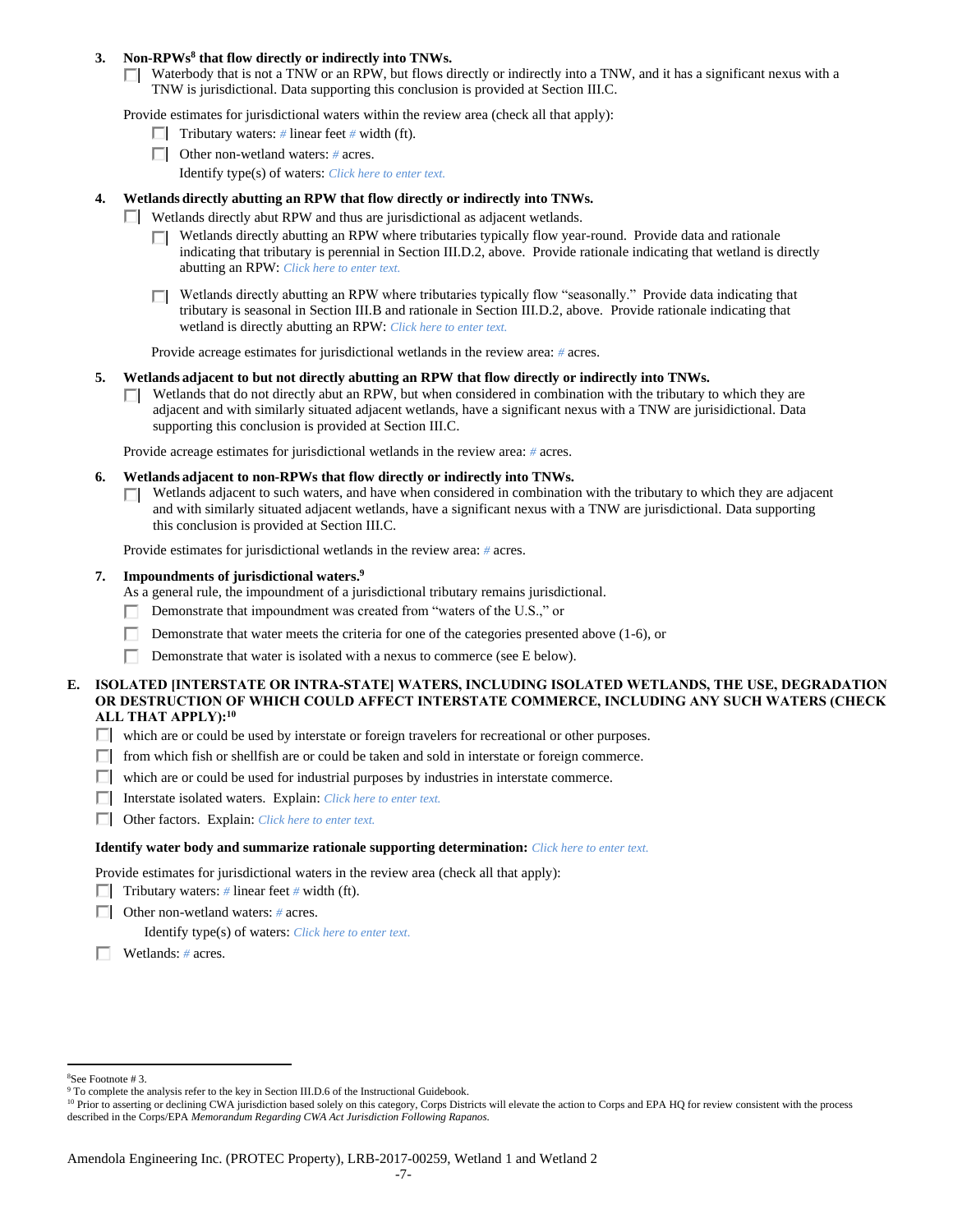### **3. Non-RPWs<sup>8</sup> that flow directly or indirectly into TNWs.**

 $\Box$  Waterbody that is not a TNW or an RPW, but flows directly or indirectly into a TNW, and it has a significant nexus with a TNW is jurisdictional. Data supporting this conclusion is provided at Section III.C.

Provide estimates for jurisdictional waters within the review area (check all that apply):

- **Tributary waters:** # linear feet # width (ft).
- Other non-wetland waters: *#* acres.
	- Identify type(s) of waters: *Click here to enter text.*

# **4. Wetlands directly abutting an RPW that flow directly or indirectly into TNWs.**

- **Wetlands directly abut RPW and thus are jurisdictional as adjacent wetlands.** 
	- $\Box$  Wetlands directly abutting an RPW where tributaries typically flow year-round. Provide data and rationale indicating that tributary is perennial in Section III.D.2, above. Provide rationale indicating that wetland is directly abutting an RPW: *Click here to enter text.*
	- Wetlands directly abutting an RPW where tributaries typically flow "seasonally." Provide data indicating that П tributary is seasonal in Section III.B and rationale in Section III.D.2, above. Provide rationale indicating that wetland is directly abutting an RPW: *Click here to enter text.*

Provide acreage estimates for jurisdictional wetlands in the review area: *#* acres.

#### **5. Wetlands adjacent to but not directly abutting an RPW that flow directly or indirectly into TNWs.**

 $\Box$  Wetlands that do not directly abut an RPW, but when considered in combination with the tributary to which they are adjacent and with similarly situated adjacent wetlands, have a significant nexus with a TNW are jurisidictional. Data supporting this conclusion is provided at Section III.C.

Provide acreage estimates for jurisdictional wetlands in the review area: *#* acres.

- **6. Wetlands adjacent to non-RPWs that flow directly or indirectly into TNWs.** 
	- Wetlands adjacent to such waters, and have when considered in combination with the tributary to which they are adjacent and with similarly situated adjacent wetlands, have a significant nexus with a TNW are jurisdictional. Data supporting this conclusion is provided at Section III.C.

Provide estimates for jurisdictional wetlands in the review area: *#* acres.

### **7. Impoundments of jurisdictional waters. 9**

As a general rule, the impoundment of a jurisdictional tributary remains jurisdictional.

- Demonstrate that impoundment was created from "waters of the U.S.," or
- Demonstrate that water meets the criteria for one of the categories presented above (1-6), or
- Demonstrate that water is isolated with a nexus to commerce (see E below).

### **E. ISOLATED [INTERSTATE OR INTRA-STATE] WATERS, INCLUDING ISOLATED WETLANDS, THE USE, DEGRADATION OR DESTRUCTION OF WHICH COULD AFFECT INTERSTATE COMMERCE, INCLUDING ANY SUCH WATERS (CHECK ALL THAT APPLY):<sup>10</sup>**

- $\Box$  which are or could be used by interstate or foreign travelers for recreational or other purposes.
- $\Box$  from which fish or shellfish are or could be taken and sold in interstate or foreign commerce.
- $\Box$  which are or could be used for industrial purposes by industries in interstate commerce.
- Interstate isolated waters.Explain: *Click here to enter text.*
- Other factors.Explain: *Click here to enter text.*

#### **Identify water body and summarize rationale supporting determination:** *Click here to enter text.*

Provide estimates for jurisdictional waters in the review area (check all that apply):

- **Tributary waters:** # linear feet # width (ft).
- Other non-wetland waters: *#* acres.

Identify type(s) of waters: *Click here to enter text.*

Wetlands: *#* acres.

 $\overline{a}$ <sup>8</sup>See Footnote # 3.

<sup>&</sup>lt;sup>9</sup> To complete the analysis refer to the key in Section III.D.6 of the Instructional Guidebook.

<sup>&</sup>lt;sup>10</sup> Prior to asserting or declining CWA jurisdiction based solely on this category, Corps Districts will elevate the action to Corps and EPA HQ for review consistent with the process described in the Corps/EPA *Memorandum Regarding CWA Act Jurisdiction Following Rapanos.*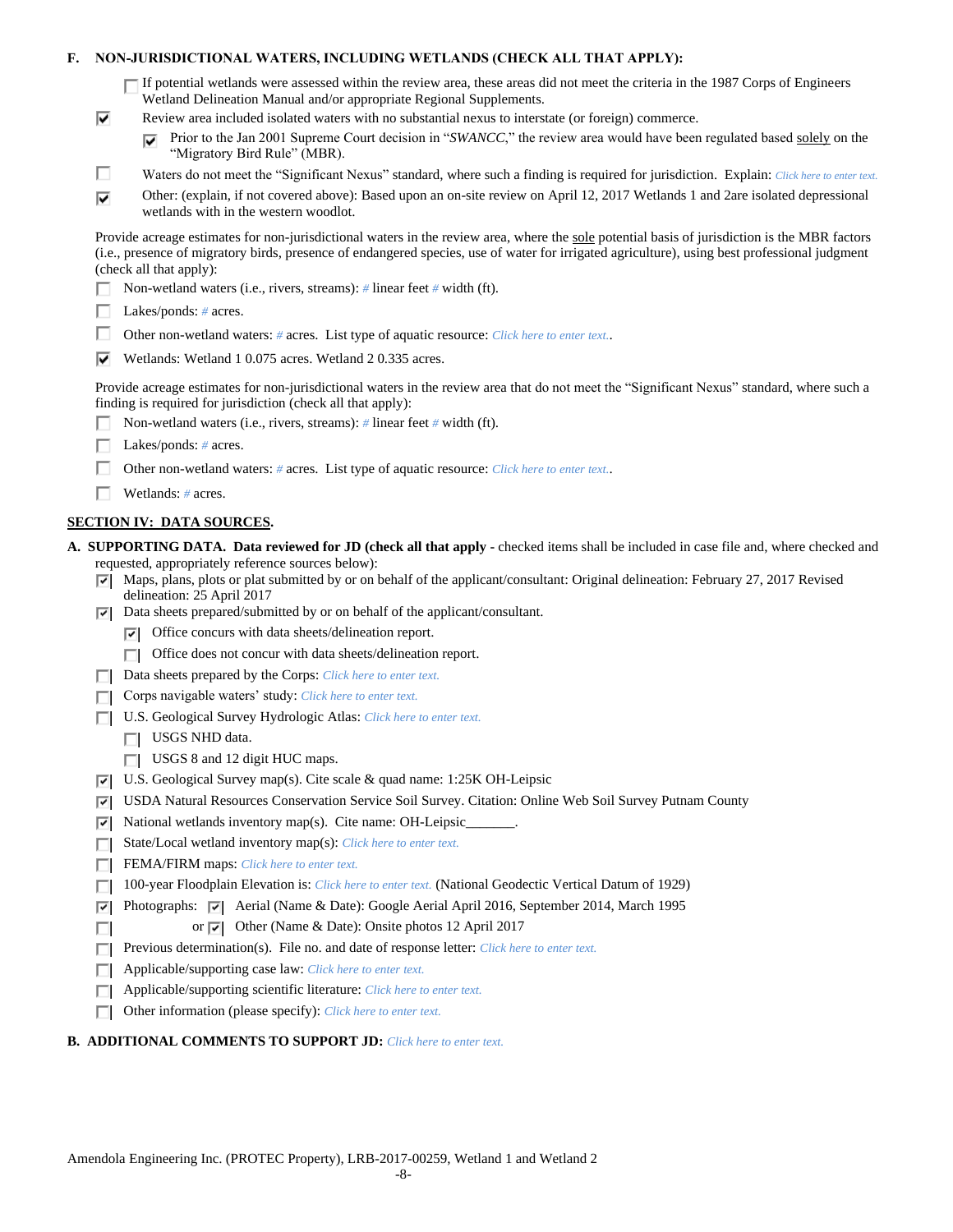## **F. NON-JURISDICTIONAL WATERS, INCLUDING WETLANDS (CHECK ALL THAT APPLY):**

If potential wetlands were assessed within the review area, these areas did not meet the criteria in the 1987 Corps of Engineers Wetland Delineation Manual and/or appropriate Regional Supplements.

- Review area included isolated waters with no substantial nexus to interstate (or foreign) commerce.
	- Prior to the Jan 2001 Supreme Court decision in "*SWANCC*," the review area would have been regulated based solely on the ⊽ "Migratory Bird Rule" (MBR).
- г Waters do not meet the "Significant Nexus" standard, where such a finding is required for jurisdiction. Explain: *Click here to enter text.*
- Other: (explain, if not covered above): Based upon an on-site review on April 12, 2017 Wetlands 1 and 2are isolated depressional ⊽ wetlands with in the western woodlot.

Provide acreage estimates for non-jurisdictional waters in the review area, where the sole potential basis of jurisdiction is the MBR factors (i.e., presence of migratory birds, presence of endangered species, use of water for irrigated agriculture), using best professional judgment (check all that apply):

- Non-wetland waters (i.e., rivers, streams): *#* linear feet *#* width (ft).
- Lakes/ponds: *#* acres.

⊽

- Other non-wetland waters: *#* acres. List type of aquatic resource: *Click here to enter text.*.
- Wetlands: Wetland 1 0.075 acres. Wetland 2 0.335 acres.

Provide acreage estimates for non-jurisdictional waters in the review area that do not meet the "Significant Nexus" standard, where such a finding is required for jurisdiction (check all that apply):

- П. Non-wetland waters (i.e., rivers, streams): *#* linear feet *#* width (ft).
- Lakes/ponds: *#* acres.
- Г Other non-wetland waters: *#* acres. List type of aquatic resource: *Click here to enter text.*.
- Wetlands: *#* acres.

# **SECTION IV: DATA SOURCES.**

**A. SUPPORTING DATA. Data reviewed for JD (check all that apply -** checked items shall be included in case file and, where checked and requested, appropriately reference sources below):

- $\nabla$  Maps, plans, plots or plat submitted by or on behalf of the applicant/consultant: Original delineation: February 27, 2017 Revised delineation: 25 April 2017
- Data sheets prepared/submitted by or on behalf of the applicant/consultant.
	- $\triangledown$  Office concurs with data sheets/delineation report.
	- □ Office does not concur with data sheets/delineation report.
- Data sheets prepared by the Corps: *Click here to enter text.*
- Corps navigable waters' study: *Click here to enter text.*
- U.S. Geological Survey Hydrologic Atlas: *Click here to enter text.*
	- USGS NHD data.

П

- USGS 8 and 12 digit HUC maps.
- U.S. Geological Survey map(s). Cite scale & quad name: 1:25K OH-Leipsic
- USDA Natural Resources Conservation Service Soil Survey. Citation: Online Web Soil Survey Putnam County
- $\triangledown$  National wetlands inventory map(s). Cite name: OH-Leipsic
- State/Local wetland inventory map(s): *Click here to enter text.*
- FEMA/FIRM maps: *Click here to enter text.*
- 100-year Floodplain Elevation is: *Click here to enter text.* (National Geodectic Vertical Datum of 1929)
- Photographs:  $\nabla$  Aerial (Name & Date): Google Aerial April 2016, September 2014, March 1995
	- or  $\overline{\triangledown}$  Other (Name & Date): Onsite photos 12 April 2017
- Previous determination(s). File no. and date of response letter: *Click here to enter text.*
- Applicable/supporting case law: *Click here to enter text.* П.
- Applicable/supporting scientific literature: *Click here to enter text.* П.
- Other information (please specify): *Click here to enter text.* П

### **B. ADDITIONAL COMMENTS TO SUPPORT JD:** *Click here to enter text.*